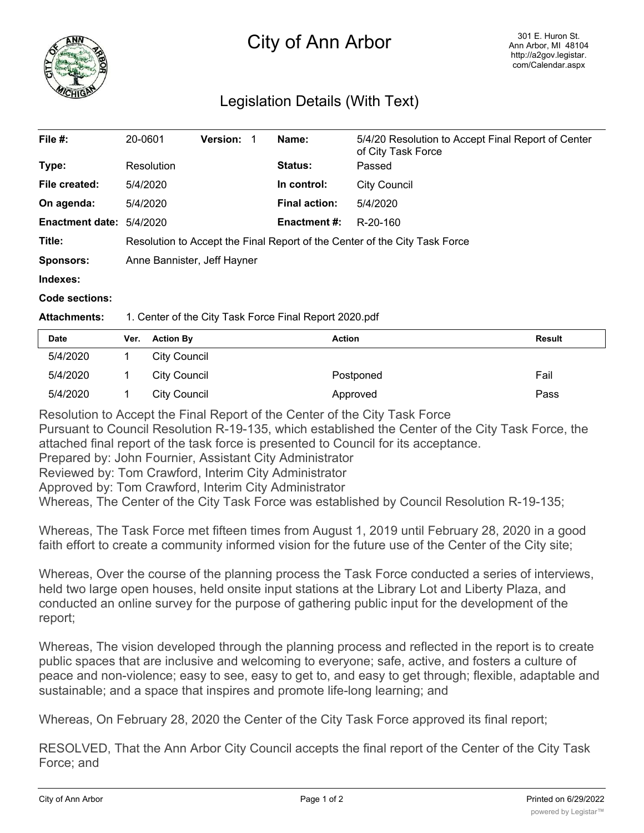

## City of Ann Arbor

## Legislation Details (With Text)

| File #:                | 20-0601                                                                    | <b>Version:</b> |                      | Name:               | 5/4/20 Resolution to Accept Final Report of Center<br>of City Task Force |  |
|------------------------|----------------------------------------------------------------------------|-----------------|----------------------|---------------------|--------------------------------------------------------------------------|--|
| Type:                  | Resolution                                                                 |                 |                      | <b>Status:</b>      | Passed                                                                   |  |
| File created:          | 5/4/2020                                                                   |                 |                      | In control:         | <b>City Council</b>                                                      |  |
| On agenda:             | 5/4/2020                                                                   |                 | <b>Final action:</b> | 5/4/2020            |                                                                          |  |
| <b>Enactment date:</b> | 5/4/2020                                                                   |                 |                      | <b>Enactment #:</b> | R-20-160                                                                 |  |
| Title:                 | Resolution to Accept the Final Report of the Center of the City Task Force |                 |                      |                     |                                                                          |  |
| <b>Sponsors:</b>       | Anne Bannister, Jeff Hayner                                                |                 |                      |                     |                                                                          |  |
| Indexes:               |                                                                            |                 |                      |                     |                                                                          |  |
| Code sections:         |                                                                            |                 |                      |                     |                                                                          |  |
|                        |                                                                            |                 |                      |                     |                                                                          |  |

## **Attachments:** 1. Center of the City Task Force Final Report 2020.pdf

| Date     | Ver. | <b>Action By</b>    | <b>Action</b> | <b>Result</b> |
|----------|------|---------------------|---------------|---------------|
| 5/4/2020 |      | City Council        |               |               |
| 5/4/2020 |      | <b>City Council</b> | Postponed     | Fail          |
| 5/4/2020 |      | <b>City Council</b> | Approved      | Pass          |

Resolution to Accept the Final Report of the Center of the City Task Force

Pursuant to Council Resolution R-19-135, which established the Center of the City Task Force, the attached final report of the task force is presented to Council for its acceptance.

Prepared by: John Fournier, Assistant City Administrator

Reviewed by: Tom Crawford, Interim City Administrator

Approved by: Tom Crawford, Interim City Administrator

Whereas, The Center of the City Task Force was established by Council Resolution R-19-135;

Whereas, The Task Force met fifteen times from August 1, 2019 until February 28, 2020 in a good faith effort to create a community informed vision for the future use of the Center of the City site;

Whereas, Over the course of the planning process the Task Force conducted a series of interviews, held two large open houses, held onsite input stations at the Library Lot and Liberty Plaza, and conducted an online survey for the purpose of gathering public input for the development of the report;

Whereas, The vision developed through the planning process and reflected in the report is to create public spaces that are inclusive and welcoming to everyone; safe, active, and fosters a culture of peace and non-violence; easy to see, easy to get to, and easy to get through; flexible, adaptable and sustainable; and a space that inspires and promote life-long learning; and

Whereas, On February 28, 2020 the Center of the City Task Force approved its final report;

RESOLVED, That the Ann Arbor City Council accepts the final report of the Center of the City Task Force; and